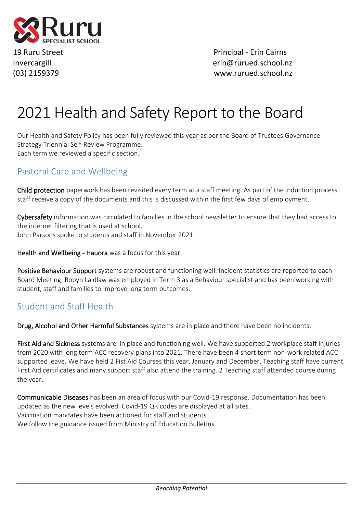

19 Ruru Street Principal - Erin Cairns Invercargill erin@rurued.school.nz (03) 2159379 www.rurued.school.nz

# 2021 Health and Safety Report to the Board

Our Health and Safety Policy has been fully reviewed this year as per the Board of Trustees Governance Strategy Triennial Self-Review Programme. Each term we reviewed a specific section.

#### Pastoral Care and Wellbeing

Child protection paperwork has been revisited every term at a staff meeting. As part of the induction process staff receive a copy of the documents and this is discussed within the first few days of employment.

Cybersafety information was circulated to families in the school newsletter to ensure that they had access to the internet filtering that is used at school. John Parsons spoke to students and staff in November 2021.

Health and Wellbeing - Hauora was a focus for this year.

Positive Behaviour Support systems are robust and functioning well. Incident statistics are reported to each Board Meeting. Robyn Laidlaw was employed in Term 3 as a Behaviour specialist and has been working with student, staff and families to improve long term outcomes.

#### Student and Staff Health

Drug, Alcohol and Other Harmful Substances systems are in place and there have been no incidents.

First Aid and Sickness systems are in place and functioning well. We have supported 2 workplace staff injuries from 2020 with long term ACC recovery plans into 2021. There have been 4 short term non-work related ACC supported leave. We have held 2 Fist Aid Courses this year, January and December. Teaching staff have current First Aid certificates and many support staff also attend the training. 2 Teaching staff attended course during the year.

Communicable Diseases has been an area of focus with our Covid-19 response. Documentation has been updated as the new levels evolved. Covid-19 QR codes are displayed at all sites. Vaccination mandates have been actioned for staff and students. We follow the guidance issued from Ministry of Education Bulletins.